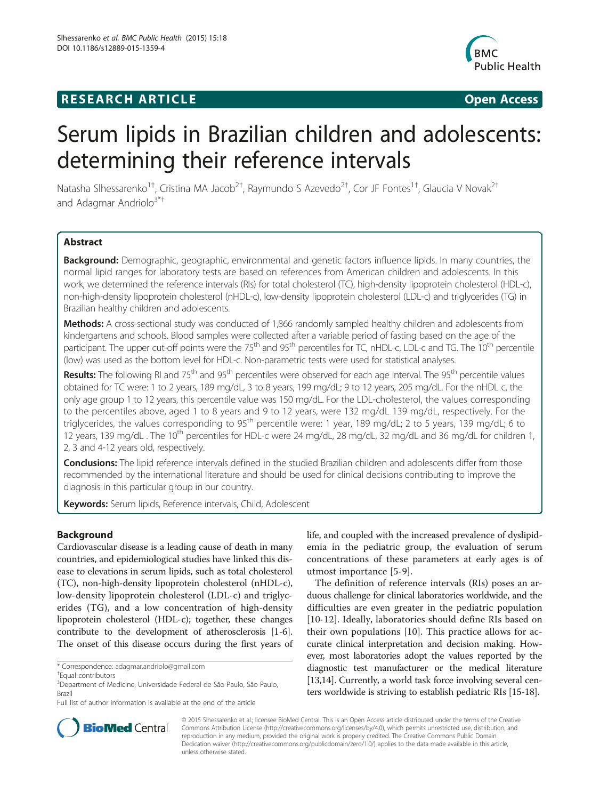# **RESEARCH ARTICLE Example 2018 CONSUMING A RESEARCH ARTICLE**



# Serum lipids in Brazilian children and adolescents: determining their reference intervals

Natasha Slhessarenko<sup>1†</sup>, Cristina MA Jacob<sup>2†</sup>, Raymundo S Azevedo<sup>2†</sup>, Cor JF Fontes<sup>1†</sup>, Glaucia V Novak<sup>2†</sup> and Adagmar Andriolo<sup>3\*†</sup>

# Abstract

Background: Demographic, geographic, environmental and genetic factors influence lipids. In many countries, the normal lipid ranges for laboratory tests are based on references from American children and adolescents. In this work, we determined the reference intervals (RIs) for total cholesterol (TC), high-density lipoprotein cholesterol (HDL-c), non-high-density lipoprotein cholesterol (nHDL-c), low-density lipoprotein cholesterol (LDL-c) and triglycerides (TG) in Brazilian healthy children and adolescents.

Methods: A cross-sectional study was conducted of 1,866 randomly sampled healthy children and adolescents from kindergartens and schools. Blood samples were collected after a variable period of fasting based on the age of the participant. The upper cut-off points were the 75<sup>th</sup> and 95<sup>th</sup> percentiles for TC, nHDL-c, LDL-c and TG. The 10<sup>th</sup> percentile (low) was used as the bottom level for HDL-c. Non-parametric tests were used for statistical analyses.

Results: The following RI and 75<sup>th</sup> and 95<sup>th</sup> percentiles were observed for each age interval. The 95<sup>th</sup> percentile values obtained for TC were: 1 to 2 years, 189 mg/dL, 3 to 8 years, 199 mg/dL; 9 to 12 years, 205 mg/dL. For the nHDL c, the only age group 1 to 12 years, this percentile value was 150 mg/dL. For the LDL-cholesterol, the values corresponding to the percentiles above, aged 1 to 8 years and 9 to 12 years, were 132 mg/dL 139 mg/dL, respectively. For the triglycerides, the values corresponding to 95<sup>th</sup> percentile were: 1 year, 189 mg/dL; 2 to 5 years, 139 mg/dL; 6 to 12 years, 139 mg/dL . The 10<sup>th</sup> percentiles for HDL-c were 24 mg/dL, 28 mg/dL, 32 mg/dL and 36 mg/dL for children 1, 2, 3 and 4-12 years old, respectively.

Conclusions: The lipid reference intervals defined in the studied Brazilian children and adolescents differ from those recommended by the international literature and should be used for clinical decisions contributing to improve the diagnosis in this particular group in our country.

Keywords: Serum lipids, Reference intervals, Child, Adolescent

# Background

Cardiovascular disease is a leading cause of death in many countries, and epidemiological studies have linked this disease to elevations in serum lipids, such as total cholesterol (TC), non-high-density lipoprotein cholesterol (nHDL-c), low-density lipoprotein cholesterol (LDL-c) and triglycerides (TG), and a low concentration of high-density lipoprotein cholesterol (HDL-c); together, these changes contribute to the development of atherosclerosis [\[1](#page-6-0)-[6](#page-7-0)]. The onset of this disease occurs during the first years of life, and coupled with the increased prevalence of dyslipidemia in the pediatric group, the evaluation of serum concentrations of these parameters at early ages is of utmost importance [[5-](#page-6-0)[9](#page-7-0)].

The definition of reference intervals (RIs) poses an arduous challenge for clinical laboratories worldwide, and the difficulties are even greater in the pediatric population [[10](#page-7-0)-[12\]](#page-7-0). Ideally, laboratories should define RIs based on their own populations [\[10](#page-7-0)]. This practice allows for accurate clinical interpretation and decision making. However, most laboratories adopt the values reported by the diagnostic test manufacturer or the medical literature [[13,14\]](#page-7-0). Currently, a world task force involving several centers worldwide is striving to establish pediatric RIs [\[15-18\]](#page-7-0).



© 2015 Slhessarenko et al.; licensee BioMed Central. This is an Open Access article distributed under the terms of the Creative Commons Attribution License [\(http://creativecommons.org/licenses/by/4.0\)](http://creativecommons.org/licenses/by/4.0), which permits unrestricted use, distribution, and reproduction in any medium, provided the original work is properly credited. The Creative Commons Public Domain Dedication waiver [\(http://creativecommons.org/publicdomain/zero/1.0/](http://creativecommons.org/publicdomain/zero/1.0/)) applies to the data made available in this article, unless otherwise stated.

<sup>\*</sup> Correspondence: [adagmar.andriolo@gmail.com](mailto:adagmar.andriolo@gmail.com) †

Equal contributors

<sup>3</sup> Department of Medicine, Universidade Federal de São Paulo, São Paulo, Brazil

Full list of author information is available at the end of the article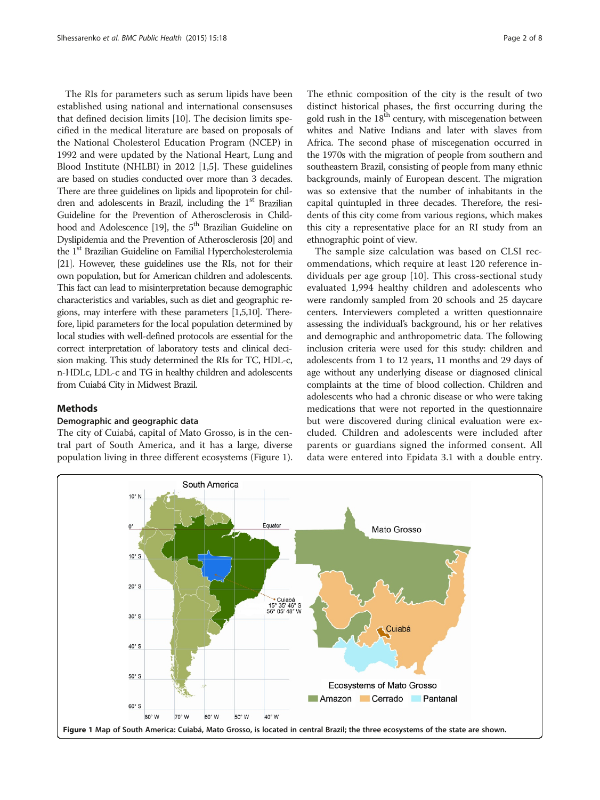The RIs for parameters such as serum lipids have been established using national and international consensuses that defined decision limits [\[10\]](#page-7-0). The decision limits specified in the medical literature are based on proposals of the National Cholesterol Education Program (NCEP) in 1992 and were updated by the National Heart, Lung and Blood Institute (NHLBI) in 2012 [\[1,5](#page-6-0)]. These guidelines are based on studies conducted over more than 3 decades. There are three guidelines on lipids and lipoprotein for children and adolescents in Brazil, including the 1<sup>st</sup> Brazilian Guideline for the Prevention of Atherosclerosis in Child-hood and Adolescence [\[19\]](#page-7-0), the 5<sup>th</sup> Brazilian Guideline on Dyslipidemia and the Prevention of Atherosclerosis [\[20](#page-7-0)] and the 1<sup>st</sup> Brazilian Guideline on Familial Hypercholesterolemia [[21\]](#page-7-0). However, these guidelines use the RIs, not for their own population, but for American children and adolescents. This fact can lead to misinterpretation because demographic characteristics and variables, such as diet and geographic regions, may interfere with these parameters [\[1,5](#page-6-0)[,10](#page-7-0)]. Therefore, lipid parameters for the local population determined by local studies with well-defined protocols are essential for the correct interpretation of laboratory tests and clinical decision making. This study determined the RIs for TC, HDL-c, n-HDLc, LDL-c and TG in healthy children and adolescents from Cuiabá City in Midwest Brazil.

# Methods

# Demographic and geographic data

The city of Cuiabá, capital of Mato Grosso, is in the central part of South America, and it has a large, diverse population living in three different ecosystems (Figure 1).

The ethnic composition of the city is the result of two distinct historical phases, the first occurring during the gold rush in the  $18<sup>th</sup>$  century, with miscegenation between whites and Native Indians and later with slaves from Africa. The second phase of miscegenation occurred in the 1970s with the migration of people from southern and southeastern Brazil, consisting of people from many ethnic backgrounds, mainly of European descent. The migration was so extensive that the number of inhabitants in the capital quintupled in three decades. Therefore, the residents of this city come from various regions, which makes this city a representative place for an RI study from an ethnographic point of view.

The sample size calculation was based on CLSI recommendations, which require at least 120 reference individuals per age group [\[10](#page-7-0)]. This cross-sectional study evaluated 1,994 healthy children and adolescents who were randomly sampled from 20 schools and 25 daycare centers. Interviewers completed a written questionnaire assessing the individual's background, his or her relatives and demographic and anthropometric data. The following inclusion criteria were used for this study: children and adolescents from 1 to 12 years, 11 months and 29 days of age without any underlying disease or diagnosed clinical complaints at the time of blood collection. Children and adolescents who had a chronic disease or who were taking medications that were not reported in the questionnaire but were discovered during clinical evaluation were excluded. Children and adolescents were included after parents or guardians signed the informed consent. All data were entered into Epidata 3.1 with a double entry.

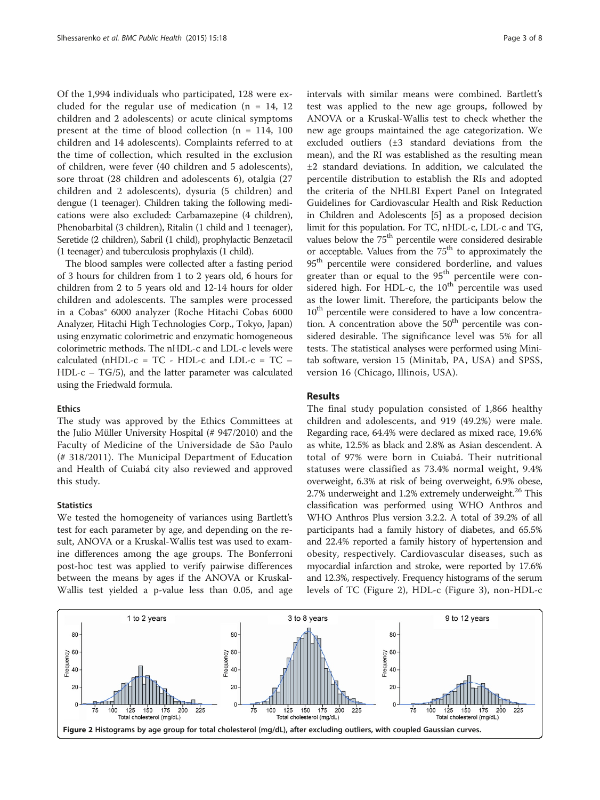<span id="page-2-0"></span>Of the 1,994 individuals who participated, 128 were excluded for the regular use of medication  $(n = 14, 12)$ children and 2 adolescents) or acute clinical symptoms present at the time of blood collection ( $n = 114$ , 100 children and 14 adolescents). Complaints referred to at the time of collection, which resulted in the exclusion of children, were fever (40 children and 5 adolescents), sore throat (28 children and adolescents 6), otalgia (27 children and 2 adolescents), dysuria (5 children) and dengue (1 teenager). Children taking the following medications were also excluded: Carbamazepine (4 children), Phenobarbital (3 children), Ritalin (1 child and 1 teenager), Seretide (2 children), Sabril (1 child), prophylactic Benzetacil (1 teenager) and tuberculosis prophylaxis (1 child).

The blood samples were collected after a fasting period of 3 hours for children from 1 to 2 years old, 6 hours for children from 2 to 5 years old and 12-14 hours for older children and adolescents. The samples were processed in a Cobas® 6000 analyzer (Roche Hitachi Cobas 6000 Analyzer, Hitachi High Technologies Corp., Tokyo, Japan) using enzymatic colorimetric and enzymatic homogeneous colorimetric methods. The nHDL-c and LDL-c levels were calculated (nHDL-c =  $TC - HDL-c$  and  $LDL-c = TC$  – HDL-c – TG/5), and the latter parameter was calculated using the Friedwald formula.

# Ethics

The study was approved by the Ethics Committees at the Julio Müller University Hospital (# 947/2010) and the Faculty of Medicine of the Universidade de São Paulo (# 318/2011). The Municipal Department of Education and Health of Cuiabá city also reviewed and approved this study.

### **Statistics**

We tested the homogeneity of variances using Bartlett's test for each parameter by age, and depending on the result, ANOVA or a Kruskal-Wallis test was used to examine differences among the age groups. The Bonferroni post-hoc test was applied to verify pairwise differences between the means by ages if the ANOVA or Kruskal-Wallis test yielded a p-value less than 0.05, and age intervals with similar means were combined. Bartlett's test was applied to the new age groups, followed by ANOVA or a Kruskal-Wallis test to check whether the new age groups maintained the age categorization. We excluded outliers (±3 standard deviations from the mean), and the RI was established as the resulting mean ±2 standard deviations. In addition, we calculated the percentile distribution to establish the RIs and adopted the criteria of the NHLBI Expert Panel on Integrated Guidelines for Cardiovascular Health and Risk Reduction in Children and Adolescents [[5\]](#page-6-0) as a proposed decision limit for this population. For TC, nHDL-c, LDL-c and TG, values below the 75<sup>th</sup> percentile were considered desirable or acceptable. Values from the  $75<sup>th</sup>$  to approximately the 95<sup>th</sup> percentile were considered borderline, and values greater than or equal to the 95<sup>th</sup> percentile were considered high. For HDL-c, the  $10^{th}$  percentile was used as the lower limit. Therefore, the participants below the 10<sup>th</sup> percentile were considered to have a low concentration. A concentration above the  $50<sup>th</sup>$  percentile was considered desirable. The significance level was 5% for all tests. The statistical analyses were performed using Minitab software, version 15 (Minitab, PA, USA) and SPSS, version 16 (Chicago, Illinois, USA).

## Results

The final study population consisted of 1,866 healthy children and adolescents, and 919 (49.2%) were male. Regarding race, 64.4% were declared as mixed race, 19.6% as white, 12.5% as black and 2.8% as Asian descendent. A total of 97% were born in Cuiabá. Their nutritional statuses were classified as 73.4% normal weight, 9.4% overweight, 6.3% at risk of being overweight, 6.9% obese, 2.7% underweight and  $1.2%$  extremely underweight.<sup>26</sup> This classification was performed using WHO Anthros and WHO Anthros Plus version 3.2.2. A total of 39.2% of all participants had a family history of diabetes, and 65.5% and 22.4% reported a family history of hypertension and obesity, respectively. Cardiovascular diseases, such as myocardial infarction and stroke, were reported by 17.6% and 12.3%, respectively. Frequency histograms of the serum levels of TC (Figure 2), HDL-c (Figure [3\)](#page-3-0), non-HDL-c

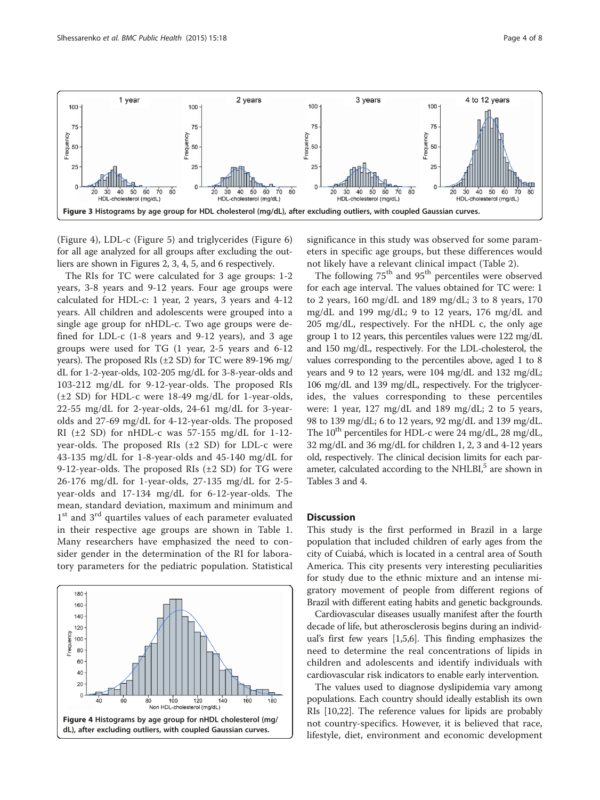<span id="page-3-0"></span>

(Figure 4), LDL-c (Figure [5\)](#page-4-0) and triglycerides (Figure [6](#page-4-0)) for all age analyzed for all groups after excluding the outliers are shown in Figures [2](#page-2-0), 3, 4, [5,](#page-4-0) and [6](#page-4-0) respectively.

The RIs for TC were calculated for 3 age groups: 1-2 years, 3-8 years and 9-12 years. Four age groups were calculated for HDL-c: 1 year, 2 years, 3 years and 4-12 years. All children and adolescents were grouped into a single age group for nHDL-c. Two age groups were defined for LDL-c (1-8 years and 9-12 years), and 3 age groups were used for TG (1 year, 2-5 years and 6-12 years). The proposed RIs (±2 SD) for TC were 89-196 mg/ dL for 1-2-year-olds, 102-205 mg/dL for 3-8-year-olds and 103-212 mg/dL for 9-12-year-olds. The proposed RIs (±2 SD) for HDL-c were 18-49 mg/dL for 1-year-olds, 22-55 mg/dL for 2-year-olds, 24-61 mg/dL for 3-yearolds and 27-69 mg/dL for 4-12-year-olds. The proposed RI ( $\pm 2$  SD) for nHDL-c was 57-155 mg/dL for 1-12year-olds. The proposed RIs  $(\pm 2 \text{ SD})$  for LDL-c were 43-135 mg/dL for 1-8-year-olds and 45-140 mg/dL for 9-12-year-olds. The proposed RIs  $(\pm 2 \text{ SD})$  for TG were 26-176 mg/dL for 1-year-olds, 27-135 mg/dL for 2-5 year-olds and 17-134 mg/dL for 6-12-year-olds. The mean, standard deviation, maximum and minimum and 1<sup>st</sup> and 3<sup>rd</sup> quartiles values of each parameter evaluated in their respective age groups are shown in Table [1](#page-5-0). Many researchers have emphasized the need to consider gender in the determination of the RI for laboratory parameters for the pediatric population. Statistical



significance in this study was observed for some parameters in specific age groups, but these differences would not likely have a relevant clinical impact (Table [2\)](#page-5-0).

The following  $75<sup>th</sup>$  and  $95<sup>th</sup>$  percentiles were observed for each age interval. The values obtained for TC were: 1 to 2 years, 160 mg/dL and 189 mg/dL; 3 to 8 years, 170 mg/dL and 199 mg/dL; 9 to 12 years, 176 mg/dL and 205 mg/dL, respectively. For the nHDL c, the only age group 1 to 12 years, this percentiles values were 122 mg/dL and 150 mg/dL, respectively. For the LDL-cholesterol, the values corresponding to the percentiles above, aged 1 to 8 years and 9 to 12 years, were 104 mg/dL and 132 mg/dL; 106 mg/dL and 139 mg/dL, respectively. For the triglycerides, the values corresponding to these percentiles were: 1 year, 127 mg/dL and 189 mg/dL; 2 to 5 years, 98 to 139 mg/dL; 6 to 12 years, 92 mg/dL and 139 mg/dL. The  $10^{th}$  percentiles for HDL-c were 24 mg/dL, 28 mg/dL, 32 mg/dL and 36 mg/dL for children 1, 2, 3 and 4-12 years old, respectively. The clinical decision limits for each parameter, calculated according to the NHLBI $<sup>5</sup>$  are shown in</sup> Tables [3](#page-5-0) and [4](#page-6-0).

# **Discussion**

This study is the first performed in Brazil in a large population that included children of early ages from the city of Cuiabá, which is located in a central area of South America. This city presents very interesting peculiarities for study due to the ethnic mixture and an intense migratory movement of people from different regions of Brazil with different eating habits and genetic backgrounds.

Cardiovascular diseases usually manifest after the fourth decade of life, but atherosclerosis begins during an individual's first few years [[1](#page-6-0),[5](#page-6-0)[,6](#page-7-0)]. This finding emphasizes the need to determine the real concentrations of lipids in children and adolescents and identify individuals with cardiovascular risk indicators to enable early intervention.

The values used to diagnose dyslipidemia vary among populations. Each country should ideally establish its own RIs [\[10,22](#page-7-0)]. The reference values for lipids are probably not country-specifics. However, it is believed that race, lifestyle, diet, environment and economic development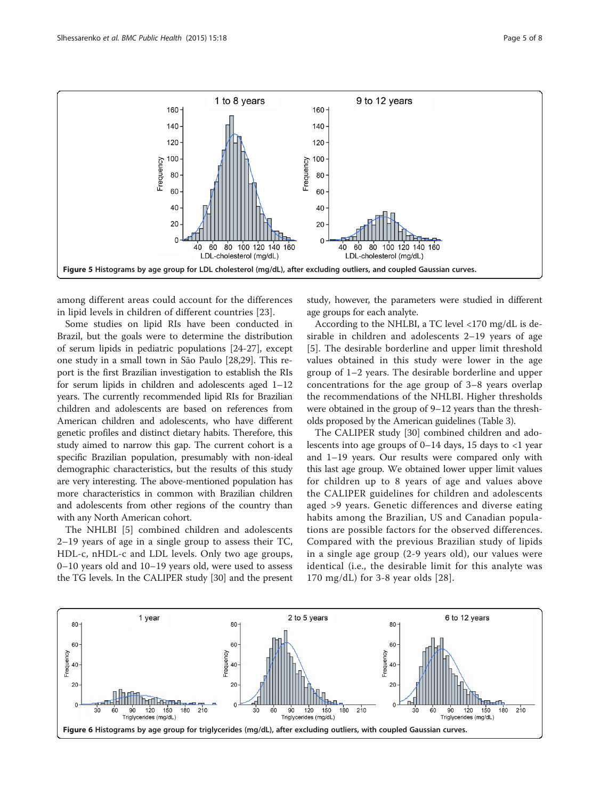<span id="page-4-0"></span>

among different areas could account for the differences in lipid levels in children of different countries [[23\]](#page-7-0).

Some studies on lipid RIs have been conducted in Brazil, but the goals were to determine the distribution of serum lipids in pediatric populations [[24](#page-7-0)-[27\]](#page-7-0), except one study in a small town in São Paulo [[28,29\]](#page-7-0). This report is the first Brazilian investigation to establish the RIs for serum lipids in children and adolescents aged 1–12 years. The currently recommended lipid RIs for Brazilian children and adolescents are based on references from American children and adolescents, who have different genetic profiles and distinct dietary habits. Therefore, this study aimed to narrow this gap. The current cohort is a specific Brazilian population, presumably with non-ideal demographic characteristics, but the results of this study are very interesting. The above-mentioned population has more characteristics in common with Brazilian children and adolescents from other regions of the country than with any North American cohort.

The NHLBI [\[5](#page-6-0)] combined children and adolescents 2–19 years of age in a single group to assess their TC, HDL-c, nHDL-c and LDL levels. Only two age groups, 0–10 years old and 10–19 years old, were used to assess the TG levels. In the CALIPER study [\[30\]](#page-7-0) and the present study, however, the parameters were studied in different age groups for each analyte.

According to the NHLBI, a TC level <170 mg/dL is desirable in children and adolescents 2–19 years of age [[5\]](#page-6-0). The desirable borderline and upper limit threshold values obtained in this study were lower in the age group of 1–2 years. The desirable borderline and upper concentrations for the age group of 3–8 years overlap the recommendations of the NHLBI. Higher thresholds were obtained in the group of 9–12 years than the thresholds proposed by the American guidelines (Table [3](#page-5-0)).

The CALIPER study [\[30](#page-7-0)] combined children and adolescents into age groups of  $0-14$  days, 15 days to  $\langle 1 \rangle$  year and 1–19 years. Our results were compared only with this last age group. We obtained lower upper limit values for children up to 8 years of age and values above the CALIPER guidelines for children and adolescents aged >9 years. Genetic differences and diverse eating habits among the Brazilian, US and Canadian populations are possible factors for the observed differences. Compared with the previous Brazilian study of lipids in a single age group (2-9 years old), our values were identical (i.e., the desirable limit for this analyte was 170 mg/dL) for 3-8 year olds [[28\]](#page-7-0).

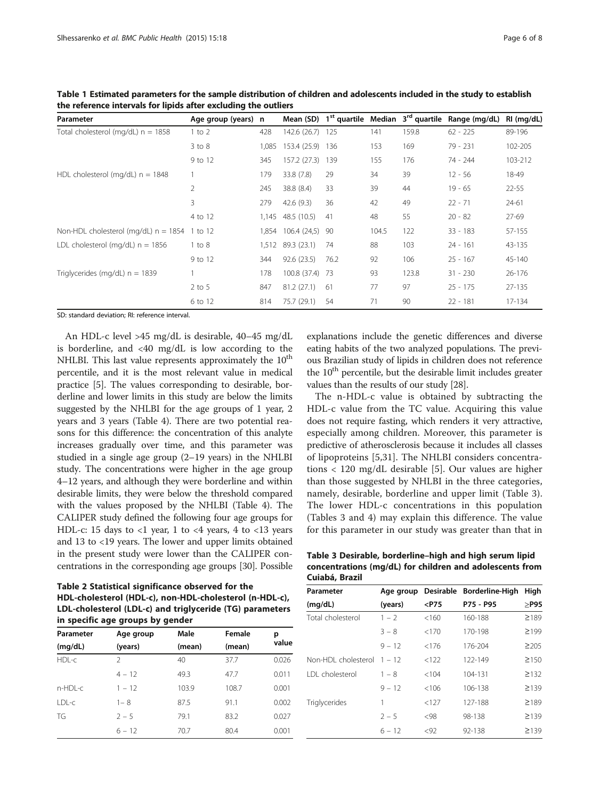| Parameter                                      | Age group (years) n |       |                    |       |       |       | Mean (SD) $1^{st}$ quartile Median $3^{rd}$ quartile Range (mg/dL) | RI (mg/dL) |
|------------------------------------------------|---------------------|-------|--------------------|-------|-------|-------|--------------------------------------------------------------------|------------|
| Total cholesterol (mg/dL) $n = 1858$           | $1$ to $2$          | 428   | 142.6 (26.7)       | - 125 | 141   | 159.8 | $62 - 225$                                                         | 89-196     |
|                                                | $3$ to $8$          | 1,085 | 153.4 (25.9) 136   |       | 153   | 169   | $79 - 231$                                                         | 102-205    |
|                                                | 9 to 12             | 345   | 157.2 (27.3)       | 139   | 155   | 176   | 74 - 244                                                           | 103-212    |
| HDL cholesterol (mg/dL) $n = 1848$             |                     | 179   | 33.8 (7.8)         | 29    | 34    | 39    | $12 - 56$                                                          | 18-49      |
|                                                | 2                   | 245   | 38.8 (8.4)         | 33    | 39    | 44    | $19 - 65$                                                          | $22 - 55$  |
|                                                | 3                   | 279   | 42.6(9.3)          | 36    | 42    | 49    | $22 - 71$                                                          | $24 - 61$  |
|                                                | 4 to 12             |       | 1,145 48.5 (10.5)  | 41    | 48    | 55    | $20 - 82$                                                          | 27-69      |
| Non-HDL cholesterol (mg/dL) $n = 1854$ 1 to 12 |                     |       | 1,854 106.4 (24,5) | - 90  | 104.5 | 122   | $33 - 183$                                                         | 57-155     |
| LDL cholesterol (mg/dL) $n = 1856$             | $1$ to $8$          | 1,512 | 89.3 (23.1)        | 74    | 88    | 103   | $24 - 161$                                                         | 43-135     |
|                                                | 9 to 12             | 344   | 92.6(23.5)         | 76.2  | 92    | 106   | $25 - 167$                                                         | 45-140     |
| Triglycerides (mg/dL) $n = 1839$               |                     | 178   | 100.8 (37.4) 73    |       | 93    | 123.8 | $31 - 230$                                                         | 26-176     |
|                                                | $2$ to 5            | 847   | 81.2(27.1)         | 61    | 77    | 97    | $25 - 175$                                                         | 27-135     |
|                                                | 6 to 12             | 814   | 75.7 (29.1)        | 54    | 71    | 90    | $22 - 181$                                                         | 17-134     |

<span id="page-5-0"></span>Table 1 Estimated parameters for the sample distribution of children and adolescents included in the study to establish the reference intervals for lipids after excluding the outliers

SD: standard deviation; RI: reference interval.

An HDL-c level >45 mg/dL is desirable, 40–45 mg/dL is borderline, and <40 mg/dL is low according to the NHLBI. This last value represents approximately the  $10<sup>th</sup>$ percentile, and it is the most relevant value in medical practice [\[5](#page-6-0)]. The values corresponding to desirable, borderline and lower limits in this study are below the limits suggested by the NHLBI for the age groups of 1 year, 2 years and 3 years (Table [4](#page-6-0)). There are two potential reasons for this difference: the concentration of this analyte increases gradually over time, and this parameter was studied in a single age group (2–19 years) in the NHLBI study. The concentrations were higher in the age group 4–12 years, and although they were borderline and within desirable limits, they were below the threshold compared with the values proposed by the NHLBI (Table [4\)](#page-6-0). The CALIPER study defined the following four age groups for HDL-c: 15 days to  $\langle$ 1 year, 1 to  $\langle$ 4 years, 4 to  $\langle$ 13 years and 13 to <19 years. The lower and upper limits obtained in the present study were lower than the CALIPER concentrations in the corresponding age groups [[30](#page-7-0)]. Possible

Table 2 Statistical significance observed for the HDL-cholesterol (HDL-c), non-HDL-cholesterol (n-HDL-c), LDL-cholesterol (LDL-c) and triglyceride (TG) parameters in specific age groups by gender

| Parameter | Age group | Male   | Female | р     |
|-----------|-----------|--------|--------|-------|
| (mg/dL)   | (years)   | (mean) | (mean) | value |
| HDL-c     | 2         | 40     | 37.7   | 0.026 |
|           | $4 - 12$  | 49.3   | 47.7   | 0.011 |
| n-HDL-c   | $1 - 12$  | 103.9  | 108.7  | 0.001 |
| LDL-c     | $1 - 8$   | 87.5   | 91.1   | 0.002 |
| TG        | $2 - 5$   | 79.1   | 83.2   | 0.027 |
|           | $6 - 12$  | 70.7   | 80.4   | 0.001 |

explanations include the genetic differences and diverse eating habits of the two analyzed populations. The previous Brazilian study of lipids in children does not reference the  $10<sup>th</sup>$  percentile, but the desirable limit includes greater values than the results of our study [\[28\]](#page-7-0).

The n-HDL-c value is obtained by subtracting the HDL-c value from the TC value. Acquiring this value does not require fasting, which renders it very attractive, especially among children. Moreover, this parameter is predictive of atherosclerosis because it includes all classes of lipoproteins [\[5](#page-6-0),[31\]](#page-7-0). The NHLBI considers concentrations < 120 mg/dL desirable [[5\]](#page-6-0). Our values are higher than those suggested by NHLBI in the three categories, namely, desirable, borderline and upper limit (Table 3). The lower HDL-c concentrations in this population (Tables 3 and [4](#page-6-0)) may explain this difference. The value for this parameter in our study was greater than that in

Table 3 Desirable, borderline–high and high serum lipid concentrations (mg/dL) for children and adolescents from Cuiabá, Brazil

| Parameter              | Age group |         | Desirable Borderline-High | High       |
|------------------------|-----------|---------|---------------------------|------------|
| (mq/dL)                | (years)   | $<$ P75 | P75 - P95                 | $\geq$ P95 |
| Total cholesterol      | $1 - 2$   | < 160   | 160-188                   | ≥189       |
|                        | $3 - 8$   | < 170   | 170-198                   | $\geq$ 199 |
|                        | $9 - 12$  | < 176   | 176-204                   | $\geq$ 205 |
| Non-HDI cholesterol    | $1 - 12$  | < 122   | 122-149                   | $\geq$ 150 |
| <b>IDI</b> cholesterol | $1 - 8$   | <104    | 104-131                   | $\geq$ 132 |
|                        | $9 - 12$  | < 106   | 106-138                   | $\geq$ 139 |
| Triglycerides          | 1         | < 127   | 127-188                   | ≥189       |
|                        | $2 - 5$   | < 98    | 98-138                    | ≥139       |
|                        | $6 - 12$  | < 92    | 92-138                    | ≥139       |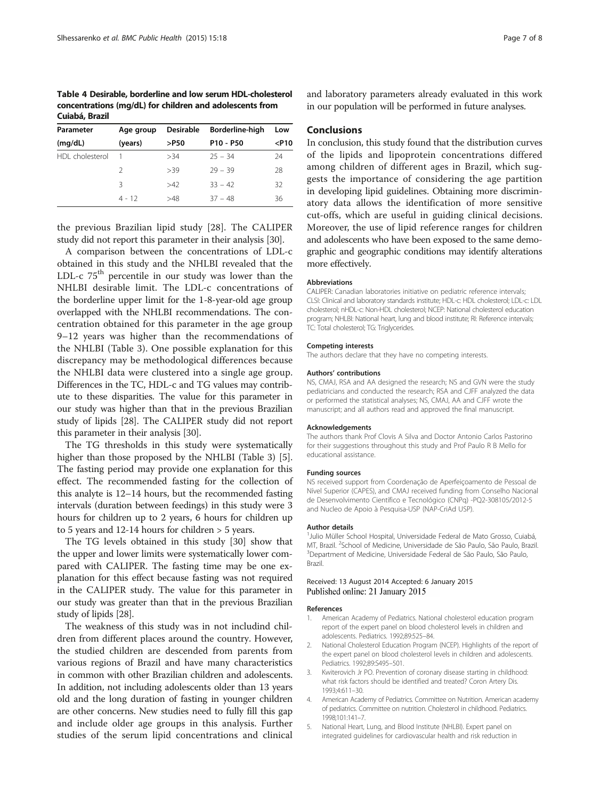<span id="page-6-0"></span>Table 4 Desirable, borderline and low serum HDL-cholesterol concentrations (mg/dL) for children and adolescents from Cuiabá, Brazil

| Parameter       | Age group | <b>Desirable</b> | Borderline-high                   | Low     |
|-----------------|-----------|------------------|-----------------------------------|---------|
| (mq/dL)         | (years)   | >P50             | P <sub>10</sub> - P <sub>50</sub> | $<$ P10 |
| HDI cholesterol |           | >34              | $25 - 34$                         | 24      |
|                 | 2         | >39              | $29 - 39$                         | 28      |
|                 | 3         | >42              | $33 - 42$                         | 32      |
|                 | $4 - 12$  | >48              | $37 - 48$                         | 36      |
|                 |           |                  |                                   |         |

the previous Brazilian lipid study [[28](#page-7-0)]. The CALIPER study did not report this parameter in their analysis [[30](#page-7-0)].

A comparison between the concentrations of LDL-c obtained in this study and the NHLBI revealed that the LDL-c  $75<sup>th</sup>$  percentile in our study was lower than the NHLBI desirable limit. The LDL-c concentrations of the borderline upper limit for the 1-8-year-old age group overlapped with the NHLBI recommendations. The concentration obtained for this parameter in the age group 9–12 years was higher than the recommendations of the NHLBI (Table [3](#page-5-0)). One possible explanation for this discrepancy may be methodological differences because the NHLBI data were clustered into a single age group. Differences in the TC, HDL-c and TG values may contribute to these disparities. The value for this parameter in our study was higher than that in the previous Brazilian study of lipids [\[28\]](#page-7-0). The CALIPER study did not report this parameter in their analysis [\[30\]](#page-7-0).

The TG thresholds in this study were systematically higher than those proposed by the NHLBI (Table [3\)](#page-5-0) [5]. The fasting period may provide one explanation for this effect. The recommended fasting for the collection of this analyte is 12–14 hours, but the recommended fasting intervals (duration between feedings) in this study were 3 hours for children up to 2 years, 6 hours for children up to 5 years and 12-14 hours for children > 5 years.

The TG levels obtained in this study [\[30](#page-7-0)] show that the upper and lower limits were systematically lower compared with CALIPER. The fasting time may be one explanation for this effect because fasting was not required in the CALIPER study. The value for this parameter in our study was greater than that in the previous Brazilian study of lipids [\[28\]](#page-7-0).

The weakness of this study was in not includind children from different places around the country. However, the studied children are descended from parents from various regions of Brazil and have many characteristics in common with other Brazilian children and adolescents. In addition, not including adolescents older than 13 years old and the long duration of fasting in younger children are other concerns. New studies need to fully fill this gap and include older age groups in this analysis. Further studies of the serum lipid concentrations and clinical and laboratory parameters already evaluated in this work in our population will be performed in future analyses.

# Conclusions

In conclusion, this study found that the distribution curves of the lipids and lipoprotein concentrations differed among children of different ages in Brazil, which suggests the importance of considering the age partition in developing lipid guidelines. Obtaining more discriminatory data allows the identification of more sensitive cut-offs, which are useful in guiding clinical decisions. Moreover, the use of lipid reference ranges for children and adolescents who have been exposed to the same demographic and geographic conditions may identify alterations more effectively.

### Abbreviations

CALIPER: Canadian laboratories initiative on pediatric reference intervals; CLSI: Clinical and laboratory standards institute; HDL-c: HDL cholesterol; LDL-c: LDL cholesterol; nHDL-c: Non-HDL cholesterol; NCEP: National cholesterol education program; NHLBI: National heart, lung and blood institute; RI: Reference intervals; TC: Total cholesterol; TG: Triglycerides.

#### Competing interests

The authors declare that they have no competing interests.

#### Authors' contributions

NS, CMAJ, RSA and AA designed the research; NS and GVN were the study pediatricians and conducted the research; RSA and CJFF analyzed the data or performed the statistical analyses; NS, CMAJ, AA and CJFF wrote the manuscript; and all authors read and approved the final manuscript.

#### Acknowledgements

The authors thank Prof Clovis A Silva and Doctor Antonio Carlos Pastorino for their suggestions throughout this study and Prof Paulo R B Mello for educational assistance.

#### Funding sources

NS received support from Coordenação de Aperfeiçoamento de Pessoal de Nível Superior (CAPES), and CMAJ received funding from Conselho Nacional de Desenvolvimento Científico e Tecnológico (CNPq) -PQ2-308105/2012-5 and Nucleo de Apoio à Pesquisa-USP (NAP-CriAd USP).

#### Author details

<sup>1</sup>Julio Müller School Hospital, Universidade Federal de Mato Grosso, Cuiabá MT, Brazil. <sup>2</sup>School of Medicine, Universidade de São Paulo, São Paulo, Brazil.<br><sup>3</sup>Department of Medicine, Universidade Eederal de São Paulo, São Paulo. Department of Medicine, Universidade Federal de São Paulo, São Paulo, Brazil.

#### Received: 13 August 2014 Accepted: 6 January 2015 Published online: 21 January 2015

#### References

- 1. American Academy of Pediatrics. National cholesterol education program report of the expert panel on blood cholesterol levels in children and adolescents. Pediatrics. 1992;89:525–84.
- 2. National Cholesterol Education Program (NCEP). Highlights of the report of the expert panel on blood cholesterol levels in children and adolescents. Pediatrics. 1992;89:S495–501.
- 3. Kwiterovich Jr PO. Prevention of coronary disease starting in childhood: what risk factors should be identified and treated? Coron Artery Dis. 1993;4:611–30.
- 4. American Academy of Pediatrics. Committee on Nutrition. American academy of pediatrics. Committee on nutrition. Cholesterol in childhood. Pediatrics. 1998;101:141–7.
- 5. National Heart, Lung, and Blood Institute (NHLBI). Expert panel on integrated guidelines for cardiovascular health and risk reduction in